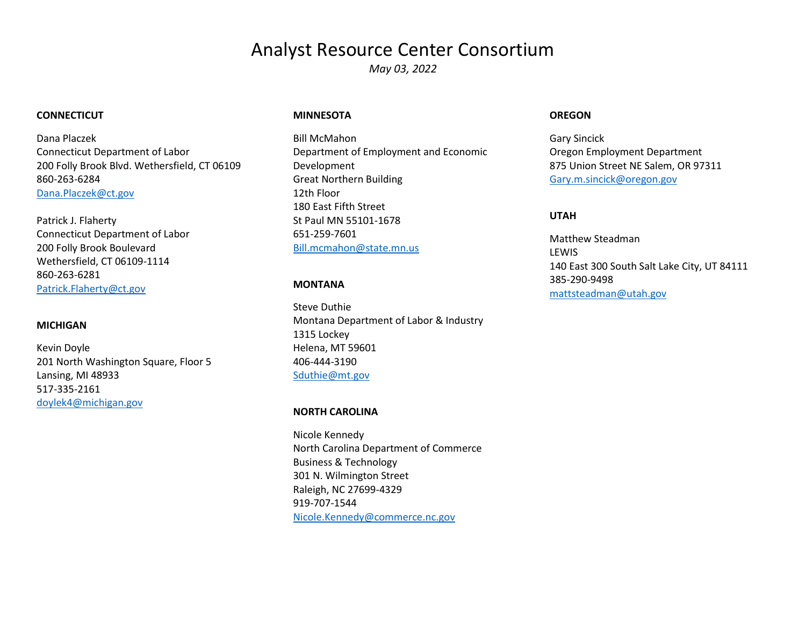# Analyst Resource Center Consortium

*May 03, 2022*

#### **CONNECTICUT**

Dana Placzek Connecticut Department of Labor 200 Folly Brook Blvd. Wethersfield, CT 06109 860-263-6284 [Dana.Placzek@ct.gov](mailto:Dana.Placzek@ct.gov)

Patrick J. Flaherty Connecticut Department of Labor 200 Folly Brook Boulevard Wethersfield, CT 06109-1114 860-263-6281 [Patrick.Flaherty@ct.gov](mailto:Patrick.Flaherty@ct.gov)

#### **MICHIGAN**

Kevin Doyle 201 North Washington Square, Floor 5 Lansing, MI 48933 517-335-2161 [doylek4@michigan.gov](mailto:doylek4@michigan.gov)

#### **MINNESOTA**

Bill McMahon Department of Employment and Economic Development Great Northern Building 12th Floor 180 East Fifth Street St Paul MN 55101-1678 651-259-7601 [Bill.mcmahon@state.mn.us](mailto:Bill.mcmahon@state.mn.us)

#### **MONTANA**

Steve Duthie Montana Department of Labor & Industry 1315 Lockey Helena, MT 59601 406-444-3190 [Sduthie@mt.gov](mailto:Sduthie@mt.gov)

#### **NORTH CAROLINA**

Nicole Kennedy North Carolina Department of Commerce Business & Technology 301 N. Wilmington Street Raleigh, NC 27699-4329 919-707-1544 [Nicole.Kennedy@commerce.nc.gov](mailto:Nicole.Kennedy@commerce.nc.gov)

#### **OREGON**

Gary Sincick Oregon Employment Department 875 Union Street NE Salem, OR 97311 [Gary.m.sincick@oregon.gov](mailto:Gary.m.sincick@oregon.gov)

#### **UTAH**

Matthew Steadman LEWIS 140 East 300 South Salt Lake City, UT 84111 385-290-9498 [mattsteadman@utah.gov](mailto:mattsteadman@utah.gov)